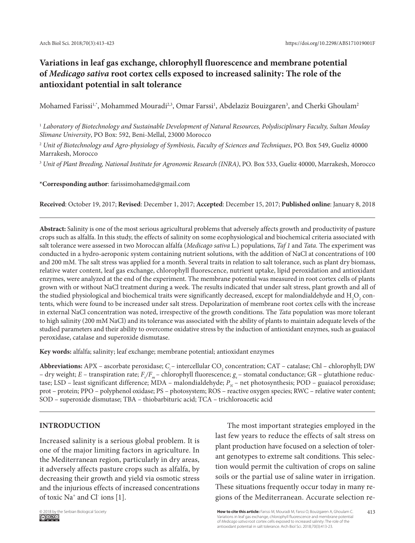# **Variations in leaf gas exchange, chlorophyll fluorescence and membrane potential of** *Medicago sativa* **root cortex cells exposed to increased salinity: The role of the antioxidant potential in salt tolerance**

Mohamed Farissi $^{1, *}$ , Mohammed Mouradi $^{2, 3}$ , Omar Farssi $^1$ , Abdelaziz Bouizgaren $^3$ , and Cherki Ghoulam $^2$ 

<sup>1</sup> *Laboratory of Biotechnology and Sustainable Development of Natural Resources, Polydisciplinary Faculty, Sultan Moulay Slimane University*, PO Box: 592, Beni-Mellal, 23000 Morocco

<sup>2</sup> *Unit of Biotechnology and Agro-physiology of Symbiosis, Faculty of Sciences and Techniques*, PO. Box 549, Gueliz 40000 Marrakesh, Morocco

<sup>3</sup> *Unit of Plant Breeding, National Institute for Agronomic Research (INRA)*, PO. Box 533, Gueliz 40000, Marrakesh, Morocco

**\*Corresponding author**: farissimohamed@gmail.com

**Received**: October 19, 2017; **Revised**: December 1, 2017; **Accepted**: December 15, 2017; **Published online**: January 8, 2018

**Abstract:** Salinity is one of the most serious agricultural problems that adversely affects growth and productivity of pasture crops such as alfalfa. In this study, the effects of salinity on some ecophysiological and biochemical criteria associated with salt tolerance were assessed in two Moroccan alfalfa (*Medicago sativa* L.) populations, *Taf 1* and *Tata.* The experiment was conducted in a hydro-aeroponic system containing nutrient solutions, with the addition of NaCl at concentrations of 100 and 200 mM. The salt stress was applied for a month. Several traits in relation to salt tolerance, such as plant dry biomass, relative water content, leaf gas exchange, chlorophyll fluorescence, nutrient uptake, lipid peroxidation and antioxidant enzymes, were analyzed at the end of the experiment. The membrane potential was measured in root cortex cells of plants grown with or without NaCl treatment during a week. The results indicated that under salt stress, plant growth and all of the studied physiological and biochemical traits were significantly decreased, except for malondialdehyde and  ${\rm H_2O_2}$  contents, which were found to be increased under salt stress. Depolarization of membrane root cortex cells with the increase in external NaCl concentration was noted, irrespective of the growth conditions. The *Tata* population was more tolerant to high salinity (200 mM NaCl) and its tolerance was associated with the ability of plants to maintain adequate levels of the studied parameters and their ability to overcome oxidative stress by the induction of antioxidant enzymes, such as guaiacol peroxidase, catalase and superoxide dismutase.

**Key words:** alfalfa; salinity; leaf exchange; membrane potential; antioxidant enzymes

**Abbreviations:** APX – ascorbate peroxidase;  $C_i$  – intercellular CO<sub>2</sub> concentration; CAT – catalase; Chl – chlorophyll; DW – dry weight; *E* – transpiration rate; *F<sub>v</sub>*/*F<sub>m</sub>* – chlorophyll fluorescence; *g<sub>s</sub>* – stomatal conductance; GR – glutathione reductase; LSD – least significant difference; MDA – malondialdehyde;  $P_N$  – net photosynthesis; POD – guaiacol peroxidase; prot – protein; PPO – polyphenol oxidase; PS – photosystem; ROS – reactive oxygen species; RWC – relative water content; SOD – superoxide dismutase; TBA – thiobarbituric acid; TCA – trichloroacetic acid

## **INTRODUCTION**

Increased salinity is a serious global problem. It is one of the major limiting factors in agriculture. In the Mediterranean region, particularly in dry areas, it adversely affects pasture crops such as alfalfa, by decreasing their growth and yield via osmotic stress and the injurious effects of increased concentrations of toxic Na+ and Cl- ions [1].

The most important strategies employed in the last few years to reduce the effects of salt stress on plant production have focused on a selection of tolerant genotypes to extreme salt conditions. This selection would permit the cultivation of crops on saline soils or the partial use of saline water in irrigation. These situations frequently occur today in many regions of the Mediterranean. Accurate selection re-



© 2018 by the Serbian Biological Society **How to cite this article:** Farissi M, Mouradi M, Farssi O, Bouizgaren A, Ghoulam C. 413 Variations in leaf gas exchange, chlorophyll fluorescence and membrane potential of *Medicago sativa* root cortex cells exposed to increased salinity: The role of the antioxidant potential in salt tolerance. Arch Biol Sci. 2018;70(3):413-23.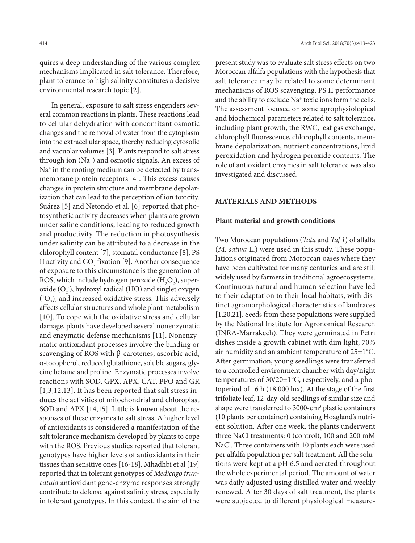quires a deep understanding of the various complex mechanisms implicated in salt tolerance. Therefore, plant tolerance to high salinity constitutes a decisive environmental research topic [2].

In general, exposure to salt stress engenders several common reactions in plants. These reactions lead to cellular dehydration with concomitant osmotic changes and the removal of water from the cytoplasm into the extracellular space, thereby reducing cytosolic and vacuolar volumes [3]. Plants respond to salt stress through ion (Na+) and osmotic signals. An excess of Na<sup>+</sup> in the rooting medium can be detected by transmembrane protein receptors [4]. This excess causes changes in protein structure and membrane depolarization that can lead to the perception of ion toxicity. Suárez [5] and Netondo et al. [6] reported that photosynthetic activity decreases when plants are grown under saline conditions, leading to reduced growth and productivity. The reduction in photosynthesis under salinity can be attributed to a decrease in the chlorophyll content [7], stomatal conductance [8], PS II activity and  $CO<sub>2</sub>$  fixation [9]. Another consequence of exposure to this circumstance is the generation of ROS, which include hydrogen peroxide  $(\mathrm{H}_{2}\mathrm{O}_{2})$ , superoxide  $(O_2)$ , hydroxyl radical (HO) and singlet oxygen  $({}^{1}O_{2})$ , and increased oxidative stress. This adversely affects cellular structures and whole plant metabolism [10]. To cope with the oxidative stress and cellular damage, plants have developed several nonenzymatic and enzymatic defense mechanisms [11]. Nonenzymatic antioxidant processes involve the binding or scavenging of ROS with β-carotenes, ascorbic acid, α-tocopherol, reduced glutathione, soluble sugars, glycine betaine and proline. Enzymatic processes involve reactions with SOD, GPX, APX, CAT, PPO and GR [1,3,12,13]. It has been reported that salt stress induces the activities of mitochondrial and chloroplast SOD and APX [14,15]. Little is known about the responses of these enzymes to salt stress. A higher level of antioxidants is considered a manifestation of the salt tolerance mechanism developed by plants to cope with the ROS. Previous studies reported that tolerant genotypes have higher levels of antioxidants in their tissues than sensitive ones [16-18]. Mhadhbi et al [19] reported that in tolerant genotypes of *Medicago truncatula* antioxidant gene-enzyme responses strongly contribute to defense against salinity stress, especially in tolerant genotypes. In this context, the aim of the

present study was to evaluate salt stress effects on two Moroccan alfalfa populations with the hypothesis that salt tolerance may be related to some determinant mechanisms of ROS scavenging, PS II performance and the ability to exclude Na<sup>+</sup> toxic ions form the cells. The assessment focused on some agrophysiological and biochemical parameters related to salt tolerance, including plant growth, the RWC, leaf gas exchange, chlorophyll fluorescence, chlorophyll contents, membrane depolarization, nutrient concentrations, lipid peroxidation and hydrogen peroxide contents. The role of antioxidant enzymes in salt tolerance was also investigated and discussed.

## **MATERIALS AND METHODS**

#### **Plant material and growth conditions**

Two Moroccan populations (*Tata* and *Taf 1*) of alfalfa (*M. sativa* L.) were used in this study. These populations originated from Moroccan oases where they have been cultivated for many centuries and are still widely used by farmers in traditional agroecosystems. Continuous natural and human selection have led to their adaptation to their local habitats, with distinct agromorphological characteristics of landraces [1,20,21]. Seeds from these populations were supplied by the National Institute for Agronomical Research (INRA-Marrakech). They were germinated in Petri dishes inside a growth cabinet with dim light, 70% air humidity and an ambient temperature of 25±1°C. After germination, young seedlings were transferred to a controlled environment chamber with day/night temperatures of 30/20±1°C, respectively, and a photoperiod of 16 h (18 000 lux). At the stage of the first trifoliate leaf, 12-day-old seedlings of similar size and shape were transferred to 3000-cm<sup>3</sup> plastic containers (10 plants per container) containing Hoagland's nutrient solution. After one week, the plants underwent three NaCl treatments: 0 (control), 100 and 200 mM NaCl. Three containers with 10 plants each were used per alfalfa population per salt treatment. All the solutions were kept at a pH 6.5 and aerated throughout the whole experimental period. The amount of water was daily adjusted using distilled water and weekly renewed. After 30 days of salt treatment, the plants were subjected to different physiological measure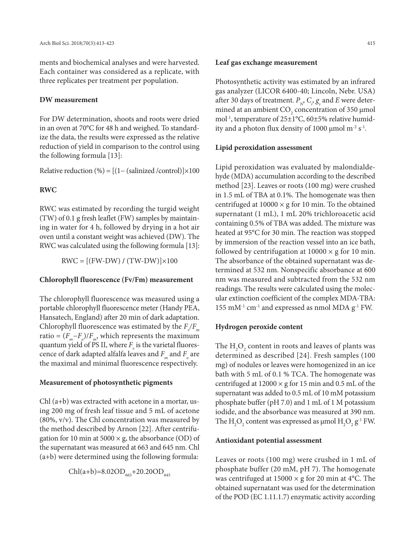ments and biochemical analyses and were harvested. Each container was considered as a replicate, with three replicates per treatment per population.

## **DW measurement**

For DW determination, shoots and roots were dried in an oven at 70°C for 48 h and weighed. To standardize the data, the results were expressed as the relative reduction of yield in comparison to the control using the following formula [13]:

Relative reduction  $(\%) = [(1 - (salinized /control)] \times 100]$ 

## **RWC**

RWC was estimated by recording the turgid weight (TW) of 0.1 g fresh leaflet (FW) samples by maintaining in water for 4 h, followed by drying in a hot air oven until a constant weight was achieved (DW). The RWC was calculated using the following formula [13]:

 $RWC = [(FW-DW) / (TW-DW)] \times 100$ 

#### **Chlorophyll fluorescence (Fv/Fm) measurement**

The chlorophyll fluorescence was measured using a portable chlorophyll fluorescence meter (Handy PEA, Hansatech, England) after 20 min of dark adaptation. Chlorophyll fluorescence was estimated by the  $F_{\sqrt{F}_m}$ ratio =  $(F_m - F_o)/F_m$ , which represents the maximum quantum yield of PS II, where  $F_{_{\it v}}$  is the varietal fluorescence of dark adapted alfalfa leaves and  $F_{\scriptscriptstyle m}$  and  $F_{\scriptscriptstyle o}$  are the maximal and minimal fluorescence respectively.

#### **Measurement of photosynthetic pigments**

Chl (a+b) was extracted with acetone in a mortar, using 200 mg of fresh leaf tissue and 5 mL of acetone (80%, v/v). The Chl concentration was measured by the method described by Arnon [22]. After centrifugation for 10 min at 5000  $\times$  g, the absorbance (OD) of the supernatant was measured at 663 and 645 nm. Chl (a+b) were determined using the following formula:

$$
Chl(a+b)=8.02OD_{663}+20.20OD_{645}
$$

Photosynthetic activity was estimated by an infrared gas analyzer (LICOR 6400-40; Lincoln, Nebr. USA) after 30 days of treatment.  $P_{N}$ ,  $C_{i}$ ,  $g_{s}$  and  $E$  were determined at an ambient  $CO_2$  concentration of 350  $\mu$ mol mol-1, temperature of 25±1°C, 60±5% relative humidity and a photon flux density of 1000  $\mu$ mol m<sup>-2</sup> s<sup>-1</sup>.

#### **Lipid peroxidation assessment**

Lipid peroxidation was evaluated by malondialdehyde (MDA) accumulation according to the described method [23]. Leaves or roots (100 mg) were crushed in 1.5 mL of TBA at 0.1%. The homogenate was then centrifuged at  $10000 \times g$  for 10 min. To the obtained supernatant (1 mL), 1 mL 20% trichloroacetic acid containing 0.5% of TBA was added. The mixture was heated at 95°C for 30 min. The reaction was stopped by immersion of the reaction vessel into an ice bath, followed by centrifugation at  $10000 \times g$  for 10 min. The absorbance of the obtained supernatant was determined at 532 nm. Nonspecific absorbance at 600 nm was measured and subtracted from the 532 nm readings. The results were calculated using the molecular extinction coefficient of the complex MDA-TBA: 155 mM $^{-1}$  cm $^{-1}$  and expressed as nmol MDA g<sup>-1</sup> FW.

#### **Hydrogen peroxide content**

The  $\mathrm{H}_{2}\mathrm{O}_{2}$  content in roots and leaves of plants was determined as described [24]. Fresh samples (100 mg) of nodules or leaves were homogenized in an ice bath with 5 mL of 0.1 % TCA. The homogenate was centrifuged at  $12000 \times g$  for 15 min and 0.5 mL of the supernatant was added to 0.5 mL of 10 mM potassium phosphate buffer (pH 7.0) and 1 mL of 1 M potassium iodide, and the absorbance was measured at 390 nm. The  $H_2O_2$  content was expressed as  $\mu$ mol  $H_2O_2$   $g^{\text{-}1}$  FW.

#### **Antioxidant potential assessment**

Leaves or roots (100 mg) were crushed in 1 mL of phosphate buffer (20 mM, pH 7). The homogenate was centrifuged at  $15000 \times g$  for 20 min at 4°C. The obtained supernatant was used for the determination of the POD (EC 1.11.1.7) enzymatic activity according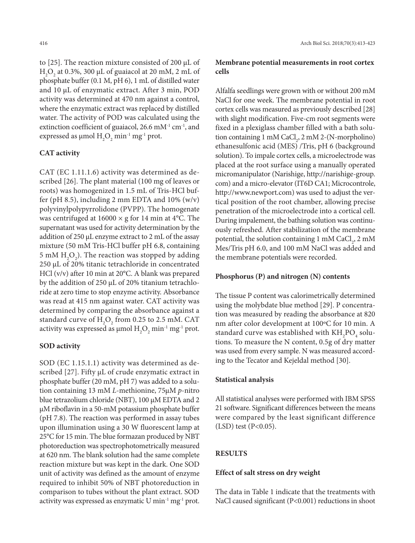to [25]. The reaction mixture consisted of 200 μL of  $H<sub>2</sub>O<sub>2</sub>$  at 0.3%, 300 μL of guaiacol at 20 mM, 2 mL of phosphate buffer (0.1 M, pH 6), 1 mL of distilled water and 10 μL of enzymatic extract. After 3 min, POD activity was determined at 470 nm against a control, where the enzymatic extract was replaced by distilled water. The activity of POD was calculated using the extinction coefficient of guaiacol, 26.6 mM<sup>-1</sup> cm<sup>-1</sup>, and expressed as  $\mu$ mol  $H_2O_2$  min<sup>-1</sup> mg<sup>-1</sup> prot.

#### **CAT activity**

CAT (EC 1.11.1.6) activity was determined as described [26]. The plant material (100 mg of leaves or roots) was homogenized in 1.5 mL of Tris-HCl buffer (pH 8.5), including 2 mm EDTA and  $10\%$  (w/v) polyvinylpolypyrrolidone (PVPP). The homogenate was centrifuged at  $16000 \times g$  for 14 min at 4°C. The supernatant was used for activity determination by the addition of 250 µL enzyme extract to 2 mL of the assay mixture (50 mM Tris-HCl buffer pH 6.8, containing 5 mM  $H_2O_2$ ). The reaction was stopped by adding 250 µL of 20% titanic tetrachloride in concentrated HCl (v/v) after 10 min at 20°C. A blank was prepared by the addition of 250 µL of 20% titanium tetrachloride at zero time to stop enzyme activity. Absorbance was read at 415 nm against water. CAT activity was determined by comparing the absorbance against a standard curve of  $H_2O_2$  from 0.25 to 2.5 mM. CAT activity was expressed as  $\mu$ mol  $H_2O_2$  min<sup>-1</sup> mg<sup>-1</sup> prot.

#### **SOD activity**

SOD (EC 1.15.1.1) activity was determined as described [27]. Fifty µL of crude enzymatic extract in phosphate buffer (20 mM, pH 7) was added to a solution containing 13 mM *L*-methionine, 75µM *p*-nitro blue tetrazolium chloride (NBT), 100 µM EDTA and 2 µM riboflavin in a 50-mM potassium phosphate buffer (pH 7.8). The reaction was performed in assay tubes upon illumination using a 30 W fluorescent lamp at 25°C for 15 min. The blue formazan produced by NBT photoreduction was spectrophotometrically measured at 620 nm. The blank solution had the same complete reaction mixture but was kept in the dark. One SOD unit of activity was defined as the amount of enzyme required to inhibit 50% of NBT photoreduction in comparison to tubes without the plant extract. SOD activity was expressed as enzymatic U min-1 mg-1 prot.

## **Membrane potential measurements in root cortex cells**

Alfalfa seedlings were grown with or without 200 mM NaCl for one week. The membrane potential in root cortex cells was measured as previously described [28] with slight modification. Five-cm root segments were fixed in a plexiglass chamber filled with a bath solution containing 1 mM  $CaCl<sub>2</sub>$ , 2 mM 2-(N-morpholino) ethanesulfonic acid (MES) /Tris, pH 6 (background solution). To impale cortex cells, a microelectrode was placed at the root surface using a manually operated micromanipulator (Narishige, http://narishige-group. com) and a micro-elevator (IT6D CA1; Microcontrole, http://www.newport.com) was used to adjust the vertical position of the root chamber, allowing precise penetration of the microelectrode into a cortical cell. During impalement, the bathing solution was continuously refreshed. After stabilization of the membrane potential, the solution containing  $1 \text{ mM } \text{CaCl}_2$ ,  $2 \text{ mM }$ Mes/Tris pH 6.0, and 100 mM NaCl was added and the membrane potentials were recorded.

#### **Phosphorus (P) and nitrogen (N) contents**

The tissue P content was calorimetrically determined using the molybdate blue method [29]. P concentration was measured by reading the absorbance at 820 nm after color development at 100ºC for 10 min. A standard curve was established with  $\mathrm{KH_{2}PO_{4}}$  solutions. To measure the N content, 0.5g of dry matter was used from every sample. N was measured according to the Tecator and Kejeldal method [30].

#### **Statistical analysis**

All statistical analyses were performed with IBM SPSS 21 software. Significant differences between the means were compared by the least significant difference  $(LSD)$  test  $(P<0.05)$ .

## **RESULTS**

## **Effect of salt stress on dry weight**

The data in Table 1 indicate that the treatments with NaCl caused significant (P<0.001) reductions in shoot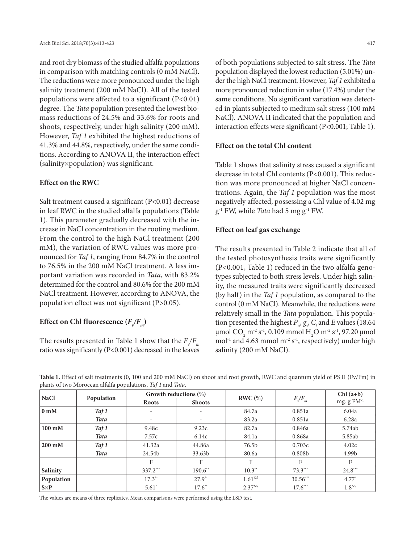and root dry biomass of the studied alfalfa populations in comparison with matching controls (0 mM NaCl). The reductions were more pronounced under the high salinity treatment (200 mM NaCl). All of the tested populations were affected to a significant  $(P<0.01)$ degree. The *Tata* population presented the lowest biomass reductions of 24.5% and 33.6% for roots and shoots, respectively, under high salinity (200 mM). However, *Taf 1* exhibited the highest reductions of 41.3% and 44.8%, respectively, under the same conditions. According to ANOVA II, the interaction effect (salinity×population) was significant.

## **Effect on the RWC**

Salt treatment caused a significant (P<0.01) decrease in leaf RWC in the studied alfalfa populations (Table 1). This parameter gradually decreased with the increase in NaCl concentration in the rooting medium. From the control to the high NaCl treatment (200 mM), the variation of RWC values was more pronounced for *Taf 1*, ranging from 84.7% in the control to 76.5% in the 200 mM NaCl treatment. A less important variation was recorded in *Tata*, with 83.2% determined for the control and 80.6% for the 200 mM NaCl treatment. However, according to ANOVA, the population effect was not significant (P>0.05).

## Effect on Chl fluorescence  $(F_v/F_m)$

The results presented in Table 1 show that the  $F_{\sqrt{F}_m}$ ratio was significantly (P<0.001) decreased in the leaves of both populations subjected to salt stress. The *Tata* population displayed the lowest reduction (5.01%) under the high NaCl treatment. However, *Taf 1* exhibited a more pronounced reduction in value (17.4%) under the same conditions. No significant variation was detected in plants subjected to medium salt stress (100 mM NaCl). ANOVA II indicated that the population and

#### **Effect on the total Chl content**

Table 1 shows that salinity stress caused a significant decrease in total Chl contents (P<0.001). This reduction was more pronounced at higher NaCl concentrations. Again, the *Taf 1* population was the most negatively affected, possessing a Chl value of 4.02 mg g-1 FW, while *Tata* had 5 mg g-1 FW.

interaction effects were significant (P<0.001; Table 1).

#### **Effect on leaf gas exchange**

The results presented in Table 2 indicate that all of the tested photosynthesis traits were significantly (P<0.001, Table 1) reduced in the two alfalfa genotypes subjected to both stress levels. Under high salinity, the measured traits were significantly decreased (by half) in the *Taf 1* population, as compared to the control (0 mM NaCl). Meanwhile, the reductions were relatively small in the *Tata* population. This population presented the highest  $P_n$ ,  $g_s$ ,  $C_i$  and *E* values (18.64) μmol CO<sub>2</sub> m<sup>-2</sup> s<sup>-1</sup>, 0.109 mmol H<sub>2</sub>O m<sup>-2</sup> s<sup>-1</sup>, 97.20 μmol mol<sup>-1</sup> and 4.63 mmol m<sup>-2</sup> s<sup>-1</sup>, respectively) under high salinity (200 mM NaCl).

| <b>NaCl</b>      | Population  | Growth reductions (%)    |               |                      |                    | $Chl(a+b)$        |
|------------------|-------------|--------------------------|---------------|----------------------|--------------------|-------------------|
|                  |             | Roots                    | <b>Shoots</b> | RWC(%)               | $F_{v}/F_{m}$      | mg. $g FM^{-1}$   |
| 0 <sub>m</sub> M | Taf 1       | $\overline{\phantom{a}}$ |               | 84.7a                | 0.851a             | 6.04a             |
|                  | <b>Tata</b> | $\overline{\phantom{a}}$ |               | 83.2a                | 0.851a             | 6.28a             |
| $100 \text{ mM}$ | Taf 1       | 9.48c                    | 9.23c         | 82.7a                | 0.846a             | 5.74ab            |
|                  | <b>Tata</b> | 7.57c                    | 6.14c         | 84.1a                | 0.868a             | 5.85ab            |
| $200 \text{ mM}$ | Taf1        | 41.32a                   | 44.86a        | 76.5b                | 0.703c             | 4.02c             |
|                  | <b>Tata</b> | 24.54b                   | 33.63b        | 80.6a                | 0.808 <sub>b</sub> | 4.99b             |
|                  |             | F                        | F             | F                    | F                  | F                 |
| <b>Salinity</b>  |             | 337.2***                 | 190.6**       | $10.3$ <sup>**</sup> | $73.3***$          | $24.8***$         |
| Population       |             | $17.3***$                | $27.9**$      | 1.61 <sup>NS</sup>   | 30.56***           | $4.77^*$          |
| $S \times P$     |             | $5.61^*$                 | $17.6$ **     | $2.37^{NS}$          | $17.6***$          | 1.8 <sup>NS</sup> |

**Table 1.** Effect of salt treatments (0, 100 and 200 mM NaCl) on shoot and root growth, RWC and quantum yield of PS II (Fv/Fm) in plants of two Moroccan alfalfa populations, *Taf 1* and *Tata*.

The values are means of three replicates. Mean comparisons were performed using the LSD test.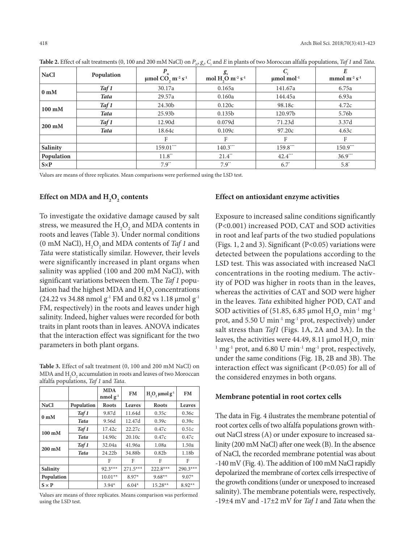| <b>NaCl</b>      | Population  | $\mu$ mol CO <sub>2</sub> m <sup>-2</sup> s <sup>-1</sup> | g.<br>mol H <sub>2</sub> O m <sup>-2</sup> s <sup>-1</sup> | $\mu$ mol mol $^{-1}$ | E<br>mmol $m^{-2} s^{-1}$ |
|------------------|-------------|-----------------------------------------------------------|------------------------------------------------------------|-----------------------|---------------------------|
| 0 <sub>m</sub> M | Taf 1       | 30.17a                                                    | 0.165a                                                     | 141.67a               | 6.75a                     |
|                  | <b>Tata</b> | 29.57a                                                    | 0.160a                                                     | 144.45a               | 6.93a                     |
| $100 \text{ mM}$ | Taf 1       | 24.30b                                                    | 0.120c                                                     | 98.18c                | 4.72c                     |
|                  | <b>Tata</b> | 25.93b                                                    | 0.135 <sub>b</sub>                                         | 120.97b               | 5.76b                     |
| $200 \text{ mM}$ | Taf 1       | 12.90d                                                    | 0.079d                                                     | 71.23d                | 3.37d                     |
|                  | <b>Tata</b> | 18.64c                                                    | 0.109c                                                     | 97.20c                | 4.63c                     |
|                  |             | F                                                         | F                                                          | F                     | F                         |
| Salinity         |             | 159.01***                                                 | $140.3***$                                                 | 159.8***              | $150.9***$                |
| Population       |             | $11.8$ <sup>**</sup>                                      | $21.4$ <sup>**</sup>                                       | $42.4***$             | $36.9***$                 |
| $S \times P$     |             | $7.9^{**}$                                                | $7.9**$                                                    | $6.7^*$               | $5.8*$                    |

Table 2. Effect of salt treatments (0, 100 and 200 mM NaCl) on  $P_N$  g<sub>s</sub>, C<sub>i</sub> and E in plants of two Moroccan alfalfa populations, *Taf 1* and *Tata*.

Values are means of three replicates. Mean comparisons were performed using the LSD test.

## Effect on MDA and  $\text{H}_{2}\text{O}_{2}$  contents

To investigate the oxidative damage caused by salt stress, we measured the  $\mathrm{H}_{2}\mathrm{O}_{2}$  and MDA contents in roots and leaves (Table 3). Under normal conditions  $(0 \text{ mM NaCl}), \text{H}_{2}\text{O}_{2}$  and MDA contents of *Taf 1* and *Tata* were statistically similar. However, their levels were significantly increased in plant organs when salinity was applied (100 and 200 mM NaCl), with significant variations between them. The *Taf 1* population had the highest MDA and  $\rm{H}_{2}\rm{O}_{2}$  concentrations (24.22 vs 34.88 nmol  $g^{-1}$  FM and 0.82 vs 1.18 µmol  $g^{-1}$ FM, respectively) in the roots and leaves under high salinity. Indeed, higher values were recorded for both traits in plant roots than in leaves. ANOVA indicates that the interaction effect was significant for the two parameters in both plant organs.

**Table 3.** Effect of salt treatment (0, 100 and 200 mM NaCl) on MDA and  $\rm{H}_{2}\rm{O}_{2}$  accumulation in roots and leaves of two Moroccan alfalfa populations, *Taf 1* and *Tata*.

|                  |             | <b>MDA</b><br>nmol $g^{-1}$ | <b>FM</b>     | $H_1O_2 \mu$ molg <sup>-1</sup> | <b>FM</b>  |
|------------------|-------------|-----------------------------|---------------|---------------------------------|------------|
| <b>NaCl</b>      | Population  | <b>Roots</b>                | <b>Leaves</b> | <b>Roots</b>                    | Leaves     |
| 0 <sub>m</sub> M | Taf 1       | 9.87d                       | 11.64d        | 0.35c                           | 0.36c      |
|                  | <b>Tata</b> | 9.56d                       | 12.47d        | 0.39c                           | 0.39c      |
| $100 \text{ mM}$ | Taf 1       | 17.42c                      | 22.27c        | 0.47c                           | 0.51c      |
|                  | <b>Tata</b> | 14.90c                      | 20.10c        | 0.47c                           | 0.47c      |
| $200 \text{ mM}$ | Taf 1       | 32.04a                      | 41.96a        | 1.08a                           | 1.50a      |
|                  | <b>Tata</b> | 24.22 <sub>b</sub>          | 34.88b        | 0.82 <sub>b</sub>               | 1.18b      |
|                  |             | F                           | F             | F                               | F          |
| Salinity         |             | $92.3***$                   | $271.5***$    | $222.8***$                      | $290.3***$ |
| Population       |             | $10.01**$                   | $8.97*$       | $9.68**$                        | $9.07*$    |
| $S \times P$     |             | $3.94*$                     | $6.04*$       | 15.28**                         | $8.92**$   |

Values are means of three replicates. Means comparison was performed using the LSD test.

#### **Effect on antioxidant enzyme activities**

Exposure to increased saline conditions significantly (P<0.001) increased POD, CAT and SOD activities in root and leaf parts of the two studied populations (Figs. 1, 2 and 3). Significant (P<0.05) variations were detected between the populations according to the LSD test. This was associated with increased NaCl concentrations in the rooting medium. The activity of POD was higher in roots than in the leaves, whereas the activities of CAT and SOD were higher in the leaves. *Tata* exhibited higher POD, CAT and SOD activities of (51.85, 6.85 µmol  $\text{H}_{2}\text{O}_{2}$  min<sup>-1</sup> mg<sup>-1</sup> prot, and 5.50 U min-1 mg-1 prot, respectively) under salt stress than *Taf1* (Figs. 1A, 2A and 3A). In the leaves, the activities were 44.49, 8.11 µmol  $\mathrm{H}_{2}\mathrm{O}_{2}$  min<sup>-</sup>  $1 \text{ mg}$ <sup>1</sup> prot, and 6.80 U min<sup>-1</sup> mg<sup>-1</sup> prot, respectively, under the same conditions (Fig. 1B, 2B and 3B). The interaction effect was significant (P<0.05) for all of the considered enzymes in both organs.

#### **Membrane potential in root cortex cells**

The data in Fig. 4 ilustrates the membrane potential of root cortex cells of two alfalfa populations grown without NaCl stress (A) or under exposure to increased salinity (200 mM NaCl) after one week (B). In the absence of NaCl, the recorded membrane potential was about -140 mV (Fig. 4). The addition of 100 mM NaCl rapidly depolarized the membrane of cortex cells irrespective of the growth conditions (under or unexposed to increased salinity). The membrane potentials were, respectively, -19±4 mV and -17±2 mV for *Taf 1* and *Tata* when the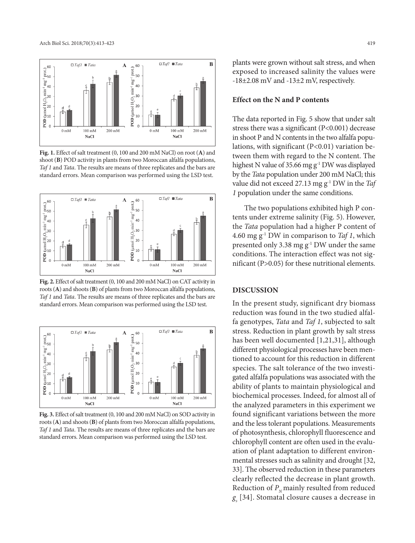

**Fig. 1.** Effect of salt treatment (0, 100 and 200 mM NaCl) on root (**A**) and shoot (**B**) POD activity in plants from two Moroccan alfalfa populations, *Taf 1* and *Tata*. The results are means of three replicates and the bars are standard errors. Mean comparison was performed using the LSD test.



**Fig. 2.** Effect of salt treatment (0, 100 and 200 mM NaCl) on CAT activity in roots (**A**) and shoots (**B**) of plants from two Moroccan alfalfa populations, *Taf 1* and *Tata*. The results are means of three replicates and the bars are standard errors. Mean comparison was performed using the LSD test.



**Fig. 3.** Effect of salt treatment (0, 100 and 200 mM NaCl) on SOD activity in roots (**A**) and shoots (**B**) of plants from two Moroccan alfalfa populations, *Taf 1* and *Tata*. The results are means of three replicates and the bars are standard errors. Mean comparison was performed using the LSD test.

plants were grown without salt stress, and when exposed to increased salinity the values were -18±2.08 mV and -13±2 mV, respectively.

#### **Effect on the N and P contents**

The data reported in Fig. 5 show that under salt stress there was a significant (P<0.001) decrease in shoot P and N contents in the two alfalfa populations, with significant (P<0.01) variation between them with regard to the N content. The highest N value of 35.66 mg  $g^{-1}$  DW was displayed by the *Tata* population under 200 mM NaCl; this value did not exceed 27.13 mg g-1 DW in the *Taf 1* population under the same conditions.

The two populations exhibited high P contents under extreme salinity (Fig. 5). However, the *Tata* population had a higher P content of 4.60 mg g-1 DW in comparison to *Taf 1*, which presented only 3.38 mg g-1 DW under the same conditions. The interaction effect was not significant (P>0.05) for these nutritional elements.

#### **DISCUSSION**

In the present study, significant dry biomass reduction was found in the two studied alfalfa genotypes, *Tata* and *Taf 1*, subjected to salt stress. Reduction in plant growth by salt stress has been well documented [1,21,31], although different physiological processes have been mentioned to account for this reduction in different species. The salt tolerance of the two investigated alfalfa populations was associated with the ability of plants to maintain physiological and biochemical processes. Indeed, for almost all of the analyzed parameters in this experiment we found significant variations between the more and the less tolerant populations. Measurements of photosynthesis, chlorophyll fluorescence and chlorophyll content are often used in the evaluation of plant adaptation to different environmental stresses such as salinity and drought [32, 33]. The observed reduction in these parameters clearly reflected the decrease in plant growth. Reduction of  $P_{N}$  mainly resulted from reduced *gs* [34]. Stomatal closure causes a decrease in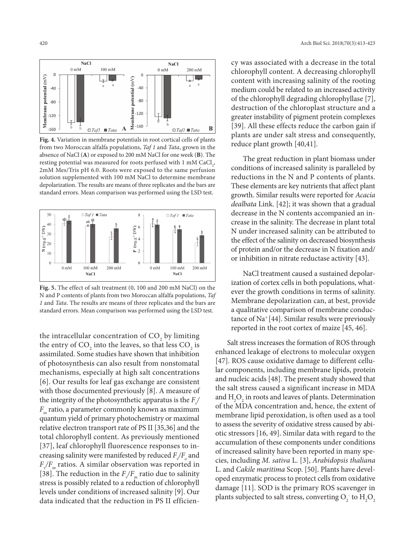

**Fig. 4.** Variation in membrane potentials in root cortical cells of plants from two Moroccan alfalfa populations, *Taf 1* and *Tata*, grown in the absence of NaCl (**A**) or exposed to 200 mM NaCl for one week (**B**). The resting potential was measured for roots perfused with  $1 \text{ mM } \text{CaCl}_2$ , 2mM Mes/Tris pH 6.0. Roots were exposed to the same perfusion solution supplemented with 100 mM NaCl to determine membrane depolarization. The results are means of three replicates and the bars are standard errors. Mean comparison was performed using the LSD test.



**Fig. 5.** The effect of salt treatment (0, 100 and 200 mM NaCl) on the N and P contents of plants from two Moroccan alfalfa populations, *Taf 1* and *Tata*. The results are means of three replicates and the bars are standard errors. Mean comparison was performed using the LSD test.

the intracellular concentration of  $CO_2$  by limiting the entry of CO<sub>2</sub> into the leaves, so that less CO<sub>2</sub> is assimilated. Some studies have shown that inhibition of photosynthesis can also result from nonstomatal mechanisms, especially at high salt concentrations [6]. Our results for leaf gas exchange are consistent with those documented previously [8]. A measure of the integrity of the photosynthetic apparatus is the  $F_{\gamma}/$ *F<sub>m</sub>* ratio, a parameter commonly known as maximum quantum yield of primary photochemistry or maximal relative electron transport rate of PS II [35,36] and the total chlorophyll content. As previously mentioned [37], leaf chlorophyll fluorescence responses to increasing salinity were manifested by reduced  $F_{\!\sqrt{F}_o}$  and  $F_{\sqrt{F_m}}$  ratios. A similar observation was reported in [38]. The reduction in the  $F_{\sqrt{F_m}}$  ratio due to salinity stress is possibly related to a reduction of chlorophyll levels under conditions of increased salinity [9]. Our data indicated that the reduction in PS II efficiency was associated with a decrease in the total chlorophyll content. A decreasing chlorophyll content with increasing salinity of the rooting medium could be related to an increased activity of the chlorophyll degrading chlorophyllase [7], destruction of the chloroplast structure and a greater instability of pigment protein complexes [39]. All these effects reduce the carbon gain if plants are under salt stress and consequently, reduce plant growth [40,41].

The great reduction in plant biomass under conditions of increased salinity is paralleled by reductions in the N and P contents of plants. These elements are key nutrients that affect plant growth. Similar results were reported for *Acacia dealbata* Link. [42]; it was shown that a gradual decrease in the N contents accompanied an increase in the salinity. The decrease in plant total N under increased salinity can be attributed to the effect of the salinity on decreased biosynthesis of protein and/or the decrease in N fixation and/ or inhibition in nitrate reductase activity [43].

NaCl treatment caused a sustained depolarization of cortex cells in both populations, whatever the growth conditions in terms of salinity. Membrane depolarization can, at best, provide a qualitative comparison of membrane conductance of Na<sup>+</sup> [44]. Similar results were previously reported in the root cortex of maize [45, 46].

Salt stress increases the formation of ROS through enhanced leakage of electrons to molecular oxygen [47]. ROS cause oxidative damage to different cellular components, including membrane lipids, protein and nucleic acids [48]. The present study showed that the salt stress caused a significant increase in MDA and  $H_2O_2$  in roots and leaves of plants. Determination of the MDA concentration and, hence, the extent of membrane lipid peroxidation, is often used as a tool to assess the severity of oxidative stress caused by abiotic stressors [16, 49]. Similar data with regard to the accumulation of these components under conditions of increased salinity have been reported in many species, including *M. sativa* L. [3], *Arabidopsis thaliana* L. and *Cakile maritima* Scop. [50]. Plants have developed enzymatic process to protect cells from oxidative damage [11]. SOD is the primary ROS scavenger in plants subjected to salt stress, converting  $\mathrm{O}_2^-$  to  $\mathrm{H}_2\mathrm{O}_2^-$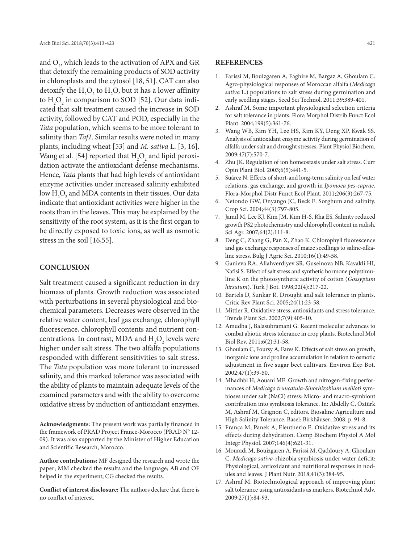and  $\mathrm{O}_2^{}$ , which leads to the activation of APX and GR that detoxify the remaining products of SOD activity in chloroplasts and the cytosol [18, 51]. CAT can also detoxify the  $H_2O_2$  to  $H_2O$ , but it has a lower affinity to  $H_2O_2$  in comparison to SOD [52]. Our data indicated that salt treatment caused the increase in SOD activity, followed by CAT and POD, especially in the *Tata* population, which seems to be more tolerant to salinity than *Taf1*. Similar results were noted in many plants, including wheat [53] and *M. sativa* L. [3, 16]. Wang et al. [54] reported that  $\rm H_2O_2$  and lipid peroxidation activate the antioxidant defense mechanisms. Hence, *Tata* plants that had high levels of antioxidant enzyme activities under increased salinity exhibited low  $\mathrm{H}_{2}\mathrm{O}_{2}$  and MDA contents in their tissues. Our data indicate that antioxidant activities were higher in the roots than in the leaves. This may be explained by the sensitivity of the root system, as it is the first organ to be directly exposed to toxic ions, as well as osmotic stress in the soil [16,55].

#### **CONCLUSION**

Salt treatment caused a significant reduction in dry biomass of plants. Growth reduction was associated with perturbations in several physiological and biochemical parameters. Decreases were observed in the relative water content, leaf gas exchange, chlorophyll fluorescence, chlorophyll contents and nutrient concentrations. In contrast, MDA and  $\rm{H}_{2}\rm{O}_{2}$  levels were higher under salt stress. The two alfalfa populations responded with different sensitivities to salt stress. The *Tata* population was more tolerant to increased salinity, and this marked tolerance was associated with the ability of plants to maintain adequate levels of the examined parameters and with the ability to overcome oxidative stress by induction of antioxidant enzymes.

**Acknowledgments:** The present work was partially financed in the framework of PRAD Project France-Morocco (PRAD N° 12- 09). It was also supported by the Minister of Higher Education and Scientific Research, Morocco.

**Author contributions:** MF designed the research and wrote the paper; MM checked the results and the language; AB and OF helped in the experiment; CG checked the results.

**Conflict of interest disclosure:** The authors declare that there is no conflict of interest.

### **REFERENCES**

- 1. Farissi M, Bouizgaren A, Faghire M, Bargaz A, Ghoulam C. Agro-physiological responses of Moroccan alfalfa (*Medicago sativa* L.) populations to salt stress during germination and early seedling stages. Seed Sci Technol. 2011;39:389-401.
- 2. Ashraf M. Some important physiological selection criteria for salt tolerance in plants. Flora Morphol Distrib Funct Ecol Plant. 2004;199(5):361-76.
- 3. Wang WB, Kim YH, Lee HS, Kim KY, Deng XP, Kwak SS. Analysis of antioxidant enzyme activity during germination of alfalfa under salt and drought stresses. Plant Physiol Biochem. 2009;47(7):570-7.
- 4. Zhu JK. Regulation of ion homeostasis under salt stress. Curr Opin Plant Biol. 2003;6(5):441-5.
- 5. Suárez N. Effects of short-and long-term salinity on leaf water relations, gas exchange, and growth in *Ipomoea pes-caprae*. Flora-Morphol Distr Funct Ecol Plant. 2011;206(3):267-75.
- 6. Netondo GW, Onyango JC, Beck E. Sorghum and salinity. Crop Sci. 2004;44(3):797-805.
- 7. Jamil M, Lee KJ, Kim JM, Kim H-S, Rha ES. Salinity reduced growth PS2 photochemistry and chlorophyll content in radish. Sci Agr. 2007;64(2):111-8.
- 8. Deng C, Zhang G, Pan X, Zhao K. Chlorophyll fluorescence and gas exchange responses of maize seedlings to saline-alkaline stress. Bulg J Agric Sci. 2010;16(1):49-58.
- 9. Ganieva RA, Allahverdiyev SR, Guseinova NB, Kavakli HI, Nafisi S. Effect of salt stress and synthetic hormone polystimuline K on the photosynthetic activity of cotton (*Gossypium hirsutum*). Turk J Bot. 1998;22(4):217-22.
- 10. Bartels D, Sunkar R. Drought and salt tolerance in plants. Critic Rev Plant Sci. 2005;24(1):23-58.
- 11. Mittler R. Oxidative stress, antioxidants and stress tolerance. Trends Plant Sci. 2002;7(9):405-10.
- 12. Amudha J, Balasubramani G. Recent molecular advances to combat abiotic stress tolerance in crop plants. Biotechnol Mol Biol Rev. 2011;6(2):31-58.
- 13. Ghoulam C, Foursy A, Fares K. Effects of salt stress on growth, inorganic ions and proline accumulation in relation to osmotic adjustment in five sugar beet cultivars. Environ Exp Bot. 2002;47(1):39-50.
- 14. Mhadhbi H, Aouani ME. Growth and nitrogen-fixing performances of *Medicago truncatula*-*Sinorhizobium meliloti* symbioses under salt (NaCl) stress: Micro- and macro-symbiont contribution into symbiosis tolerance. In: Abdelly C, Öztürk M, Ashraf M, Grignon C, editors. Biosaline Agriculture and High Salinity Tolerance. Basel: Birkhäuser; 2008. p. 91-8.
- 15. França M, Panek A, Eleutherio E. Oxidative stress and its effects during dehydration. Comp Biochem Physiol A Mol Integr Physiol. 2007;146(4):621-31.
- 16. Mouradi M, Bouizgaren A, Farissi M, Qaddoury A, Ghoulam C. *Medicago sativa*-rhizobia symbiosis under water deficit: Physiological, antioxidant and nutritional responses in nodules and leaves. J Plant Nutr. 2018;41(3):384-95.
- 17. Ashraf M. Biotechnological approach of improving plant salt tolerance using antioxidants as markers. Biotechnol Adv. 2009;27(1):84-93.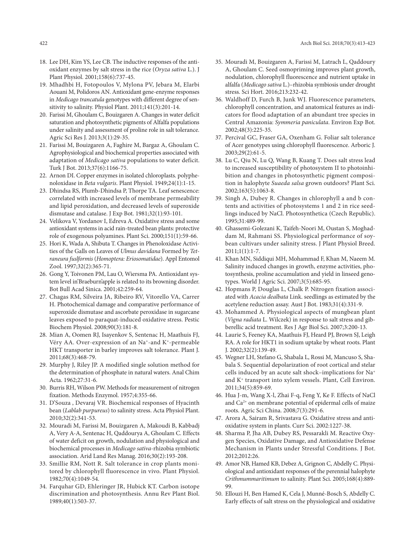- 18. Lee DH, Kim YS, Lee CB. The inductive responses of the antioxidant enzymes by salt stress in the rice (*Oryza sativa* L.). J Plant Physiol. 2001;158(6):737-45.
- 19. Mhadhbi H, Fotopoulos V, Mylona PV, Jebara M, Elarbi Aouani M, Polidoros AN. Antioxidant gene-enzyme responses in *Medicago trancatula* genotypes with different degree of sensitivity to salinity. Physiol Plant. 2011;141(3):201-14.
- 20. Farissi M, Ghoulam C, Bouizgaren A. Changes in water deficit saturation and photosynthetic pigments of Alfalfa populations under salinity and assessment of proline role in salt tolerance. Agric Sci Res J. 2013;3(1):29-35.
- 21. Farissi M, Bouizgaren A, Faghire M, Bargaz A, Ghoulam C. Agrophysiological and biochemical properties associated with adaptation of *Medicago sativa* populations to water deficit. Turk J Bot. 2013;37(6):1166-75.
- 22. Arnon DI. Copper enzymes in isolated chloroplasts. polyphenoloxidase in *Beta vulgaris*. Plant Physiol. 1949;24(1):1-15.
- 23. Dhindsa RS, Plumb-Dhindsa P, Thorpe TA. Leaf senescence: correlated with increased levels of membrane permeability and lipid peroxidation, and decreased levels of superoxide dismutase and catalase. J Exp Bot. 1981;32(1):93-101.
- 24. Velikova V, Yordanov I, Edreva A. Oxidative stress and some antioxidant systems in acid rain-treated bean plants: protective role of exogenous polyamines. Plant Sci. 2000;151(1):59-66.
- 25. Hori K, Wada A, Shibuta T. Changes in Phenoloxidase Activities of the Galls on Leaves of *Ulmus davidana* Formed by *Tetraneura fuslformis* (*Homoptera: Eriosomatidae*). Appl Entomol Zool. 1997;32(2):365-71.
- 26. Gong Y, Toivonen PM, Lau O, Wiersma PA. Antioxidant system level in'Braeburn'apple is related to its browning disorder. Bot Bull Acad Sinica. 2001;42:259-64.
- 27. Chagas RM, Silveira JA, Ribeiro RV, Vitorello VA, Carrer H. Photochemical damage and comparative performance of superoxide dismutase and ascorbate peroxidase in sugarcane leaves exposed to paraquat-induced oxidative stress. Pestic Biochem Physiol. 2008;90(3):181-8.
- 28. Mian A, Oomen RJ, Isayenkov S, Sentenac H, Maathuis FJ, Véry AA. Over‐expression of an Na+‐and K+‐permeable HKT transporter in barley improves salt tolerance. Plant J. 2011;68(3):468-79.
- 29. Murphy J, Riley JP. A modified single solution method for the determination of phosphate in natural waters. Anal Chim Acta. 1962;27:31-6.
- 30. Burris RH, Wilson PW. Methods for measurement of nitrogen fixation. Methods Enzymol. 1957;4:355-66.
- 31. D'Souza , Devaraj VR. Biochemical responses of Hyacinth bean (*Lablab purpureus*) to salinity stress. Acta Physiol Plant. 2010;32(2):341-53.
- 32. Mouradi M, Farissi M, Bouizgaren A, Makoudi B, Kabbadj A, Very A-A, Sentenac H, Qaddourya A, Ghoulam C. Effects of water deficit on growth, nodulation and physiological and biochemical processes in *Medicago sativa*-rhizobia symbiotic association. Arid Land Res Manag. 2016;30(2):193-208.
- 33. Smillie RM, Nott R. Salt tolerance in crop plants monitored by chlorophyll fluorescence in vivo. Plant Physiol. 1982;70(4):1049-54.
- 34. Farquhar GD, Ehleringer JR, Hubick KT. Carbon isotope discrimination and photosynthesis. Annu Rev Plant Biol. 1989;40(1):503-37.
- 35. Mouradi M, Bouizgaren A, Farissi M, Latrach L, Qaddoury A, Ghoulam C. Seed osmopriming improves plant growth, nodulation, chlorophyll fluorescence and nutrient uptake in alfalfa (*Medicago sativa* L.)–rhizobia symbiosis under drought stress. Sci Hort. 2016;213:232-42.
- 36. Waldhoff D, Furch B, Junk WJ. Fluorescence parameters, chlorophyll concentration, and anatomical features as indicators for flood adaptation of an abundant tree species in Central Amazonia: *Symmeria paniculata*. Environ Exp Bot. 2002;48(3):225-35.
- 37. Percival GC, Fraser GA, Oxenham G. Foliar salt tolerance of Acer genotypes using chlorophyll fluorescence. Arboric J.  $2003;29(2):61-5.$
- 38. Lu C, Qiu N, Lu Q, Wang B, Kuang T. Does salt stress lead to increased susceptibility of photosystem II to photoinhibition and changes in photosynthetic pigment composition in halophyte *Suaeda salsa* grown outdoors? Plant Sci. 2002;163(5):1063-8.
- 39. Singh A, Dubey R. Changes in chlorophyll a and b contents and activities of photosystems 1 and 2 in rice seedlings induced by NaCl. Photosynthetica (Czech Republic). 1995;31:489-99.
- 40. Ghassemi-Golezani K, Taifeh-Noori M, Oustan S, Moghaddam M, Rahmani SS. Physiological performance of soybean cultivars under salinity stress. J Plant Physiol Breed. 2011;1(1):1-7.
- 41. Khan MN, Siddiqui MH, Mohammad F, Khan M, Naeem M. Salinity induced changes in growth, enzyme activities, photosynthesis, proline accumulation and yield in linseed genotypes. World J Agric Sci. 2007;3(5):685-95.
- 42. Hopmans P, Douglas L, Chalk P. Nitrogen fixation associated with *Acacia dealbata* Link. seedlings as estimated by the acetylene reduction assay. Aust J Bot. 1983;31(4):331-9.
- 43. Mohammed A. Physiological aspects of mungbean plant (*Vigna radiata* L. Wilczek) in response to salt stress and gibberellic acid treatment. Res J Agr Biol Sci. 2007;3:200-13.
- 44. Laurie S, Feeney KA, Maathuis FJ, Heard PJ, Brown SJ, Leigh RA. A role for HKT1 in sodium uptake by wheat roots. Plant J. 2002;32(2):139-49.
- 45. Wegner LH, Stefano G, Shabala L, Rossi M, Mancuso S, Shabala S. Sequential depolarization of root cortical and stelar cells induced by an acute salt shock–implications for Na+ and K+ transport into xylem vessels. Plant, Cell Environ. 2011;34(5):859-69.
- 46. Hua J-m, Wang X-l, Zhai F-q, Feng Y, Ke F. Effects of NaCl and Ca<sup>2+</sup> on membrane potential of epidermal cells of maize roots. Agric Sci China. 2008;7(3):291-6.
- 47. Arora A, Sairam R, Srivastava G. Oxidative stress and antioxidative system in plants. Curr Sci. 2002:1227-38.
- 48. Sharma P, Jha AB, Dubey RS, Pessarakli M. Reactive Oxygen Species, Oxidative Damage, and Antioxidative Defense Mechanism in Plants under Stressful Conditions. J Bot. 2012;2012:26.
- 49. Amor NB, Hamed KB, Debez A, Grignon C, Abdelly C. Physiological and antioxidant responses of the perennial halophyte *Crithmummaritimum* to salinity. Plant Sci. 2005;168(4):889- 99.
- 50. Ellouzi H, Ben Hamed K, Cela J, Munné‐Bosch S, Abdelly C. Early effects of salt stress on the physiological and oxidative